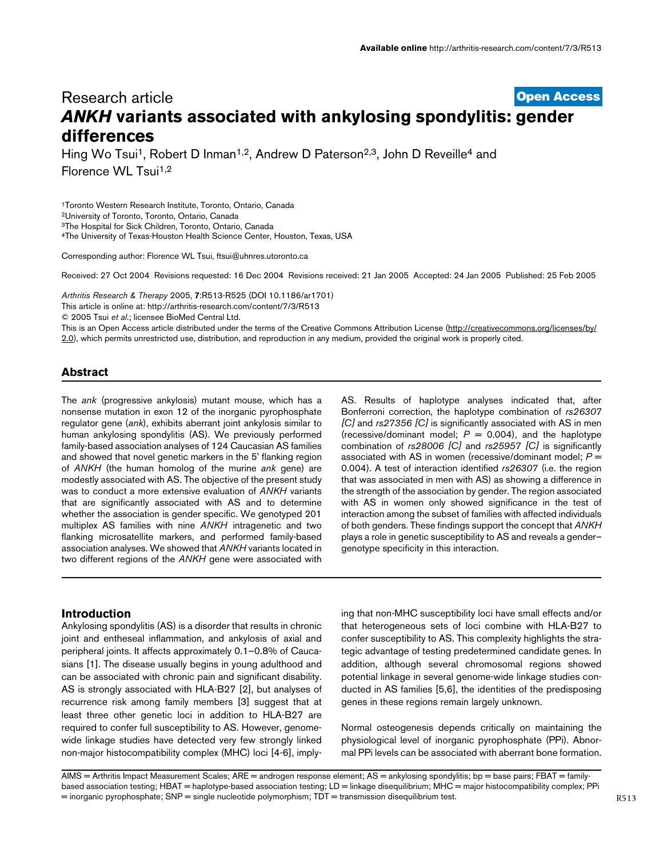# **[Open Access](http://www.biomedcentral.com/info/about/charter/)** Research article *ANKH* **variants associated with ankylosing spondylitis: gender differences**

Hing Wo Tsui<sup>1</sup>, Robert D Inman<sup>1,2</sup>, Andrew D Paterson<sup>2,3</sup>, John D Reveille<sup>4</sup> and

Florence WL Tsui<sup>1,2</sup>

1Toronto Western Research Institute, Toronto, Ontario, Canada 2University of Toronto, Toronto, Ontario, Canada 3The Hospital for Sick Children, Toronto, Ontario, Canada 4The University of Texas-Houston Health Science Center, Houston, Texas, USA

Corresponding author: Florence WL Tsui, ftsui@uhnres.utoronto.ca

Received: 27 Oct 2004 Revisions requested: 16 Dec 2004 Revisions received: 21 Jan 2005 Accepted: 24 Jan 2005 Published: 25 Feb 2005

*Arthritis Research & Therapy* 2005, **7**:R513-R525 (DOI 10.1186/ar1701) [This article is online at: http://arthritis-research.com/content/7/3/R513](http://arthritis-research.com/content/7/3/R513) © 2005 Tsui *et al*.; licensee BioMed Central Ltd.

This is an Open Access article distributed under the terms of the Creative Commons Attribution License ([http://creativecommons.org/licenses/by/](http://creativecommons.org/licenses/by/2.0) [2.0\)](http://creativecommons.org/licenses/by/2.0), which permits unrestricted use, distribution, and reproduction in any medium, provided the original work is properly cited.

## **Abstract**

The *ank* (progressive ankylosis) mutant mouse, which has a nonsense mutation in exon 12 of the inorganic pyrophosphate regulator gene (*ank*), exhibits aberrant joint ankylosis similar to human ankylosing spondylitis (AS). We previously performed family-based association analyses of 124 Caucasian AS families and showed that novel genetic markers in the 5' flanking region of *ANKH* (the human homolog of the murine *ank* gene) are modestly associated with AS. The objective of the present study was to conduct a more extensive evaluation of *ANKH* variants that are significantly associated with AS and to determine whether the association is gender specific. We genotyped 201 multiplex AS families with nine *ANKH* intragenetic and two flanking microsatellite markers, and performed family-based association analyses. We showed that *ANKH* variants located in two different regions of the *ANKH* gene were associated with AS. Results of haplotype analyses indicated that, after Bonferroni correction, the haplotype combination of *rs26307 [C]* and *rs27356 [C]* is significantly associated with AS in men (recessive/dominant model;  $P = 0.004$ ), and the haplotype combination of *rs28006 [C]* and *rs25957 [C]* is significantly associated with AS in women (recessive/dominant model; *P* = 0.004). A test of interaction identified *rs26307* (i.e. the region that was associated in men with AS) as showing a difference in the strength of the association by gender. The region associated with AS in women only showed significance in the test of interaction among the subset of families with affected individuals of both genders. These findings support the concept that *ANKH* plays a role in genetic susceptibility to AS and reveals a gender– genotype specificity in this interaction.

## **Introduction**

Ankylosing spondylitis (AS) is a disorder that results in chronic joint and entheseal inflammation, and ankylosis of axial and peripheral joints. It affects approximately 0.1–0.8% of Caucasians [1]. The disease usually begins in young adulthood and can be associated with chronic pain and significant disability. AS is strongly associated with HLA-B27 [2], but analyses of recurrence risk among family members [3] suggest that at least three other genetic loci in addition to HLA-B27 are required to confer full susceptibility to AS. However, genomewide linkage studies have detected very few strongly linked non-major histocompatibility complex (MHC) loci [4-6], imply-

ing that non-MHC susceptibility loci have small effects and/or that heterogeneous sets of loci combine with HLA-B27 to confer susceptibility to AS. This complexity highlights the strategic advantage of testing predetermined candidate genes. In addition, although several chromosomal regions showed potential linkage in several genome-wide linkage studies conducted in AS families [5,6], the identities of the predisposing genes in these regions remain largely unknown.

Normal osteogenesis depends critically on maintaining the physiological level of inorganic pyrophosphate (PPi). Abnormal PPi levels can be associated with aberrant bone formation.

AIMS = Arthritis Impact Measurement Scales; ARE = androgen response element; AS = ankylosing spondylitis; bp = base pairs; FBAT = familybased association testing; HBAT = haplotype-based association testing; LD = linkage disequilibrium; MHC = major histocompatibility complex; PPi = inorganic pyrophosphate; SNP = single nucleotide polymorphism; TDT = transmission disequilibrium test.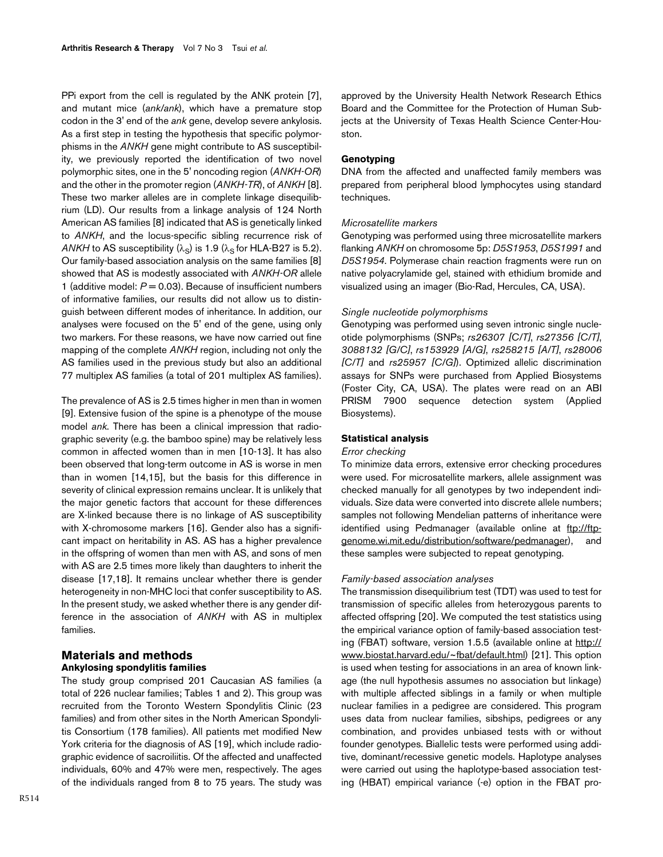PPi export from the cell is regulated by the ANK protein [7], and mutant mice (*ank/ank*), which have a premature stop codon in the 3' end of the *ank* gene, develop severe ankylosis. As a first step in testing the hypothesis that specific polymorphisms in the *ANKH* gene might contribute to AS susceptibility, we previously reported the identification of two novel polymorphic sites, one in the 5' noncoding region (*ANKH-OR*) and the other in the promoter region (*ANKH-TR*), of *ANKH* [8]. These two marker alleles are in complete linkage disequilibrium (LD). Our results from a linkage analysis of 124 North American AS families [8] indicated that AS is genetically linked to *ANKH*, and the locus-specific sibling recurrence risk of *ANKH* to AS susceptibility  $(\lambda_{\rm S})$  is 1.9 ( $\lambda_{\rm S}$  for HLA-B27 is 5.2). Our family-based association analysis on the same families [8] showed that AS is modestly associated with *ANKH-OR* allele 1 (additive model: *P* = 0.03). Because of insufficient numbers of informative families, our results did not allow us to distinguish between different modes of inheritance. In addition, our analyses were focused on the 5' end of the gene, using only two markers. For these reasons, we have now carried out fine mapping of the complete *ANKH* region, including not only the AS families used in the previous study but also an additional 77 multiplex AS families (a total of 201 multiplex AS families).

The prevalence of AS is 2.5 times higher in men than in women [9]. Extensive fusion of the spine is a phenotype of the mouse model *ank*. There has been a clinical impression that radiographic severity (e.g. the bamboo spine) may be relatively less common in affected women than in men [10-13]. It has also been observed that long-term outcome in AS is worse in men than in women [14,15], but the basis for this difference in severity of clinical expression remains unclear. It is unlikely that the major genetic factors that account for these differences are X-linked because there is no linkage of AS susceptibility with X-chromosome markers [16]. Gender also has a significant impact on heritability in AS. AS has a higher prevalence in the offspring of women than men with AS, and sons of men with AS are 2.5 times more likely than daughters to inherit the disease [17,18]. It remains unclear whether there is gender heterogeneity in non-MHC loci that confer susceptibility to AS. In the present study, we asked whether there is any gender difference in the association of *ANKH* with AS in multiplex families.

## **Materials and methods Ankylosing spondylitis families**

The study group comprised 201 Caucasian AS families (a total of 226 nuclear families; Tables [1](#page-2-0) and [2\)](#page-3-0). This group was recruited from the Toronto Western Spondylitis Clinic (23 families) and from other sites in the North American Spondylitis Consortium (178 families). All patients met modified New York criteria for the diagnosis of AS [19], which include radiographic evidence of sacroiliitis. Of the affected and unaffected individuals, 60% and 47% were men, respectively. The ages of the individuals ranged from 8 to 75 years. The study was

R514

approved by the University Health Network Research Ethics Board and the Committee for the Protection of Human Subjects at the University of Texas Health Science Center-Houston.

## **Genotyping**

DNA from the affected and unaffected family members was prepared from peripheral blood lymphocytes using standard techniques.

#### *Microsatellite markers*

Genotyping was performed using three microsatellite markers flanking *ANKH* on chromosome 5p: *D5S1953*, *D5S1991* and *D5S1954*. Polymerase chain reaction fragments were run on native polyacrylamide gel, stained with ethidium bromide and visualized using an imager (Bio-Rad, Hercules, CA, USA).

#### *Single nucleotide polymorphisms*

Genotyping was performed using seven intronic single nucleotide polymorphisms (SNPs; *rs26307 [C/T]*, *rs27356 [C/T]*, *3088132 [G/C]*, *rs153929 [A/G]*, *rs258215 [A/T]*, *rs28006 [C/T]* and *rs25957 [C/G]*). Optimized allelic discrimination assays for SNPs were purchased from Applied Biosystems (Foster City, CA, USA). The plates were read on an ABI PRISM 7900 sequence detection system (Applied Biosystems).

## **Statistical analysis**

## *Error checking*

To minimize data errors, extensive error checking procedures were used. For microsatellite markers, allele assignment was checked manually for all genotypes by two independent individuals. Size data were converted into discrete allele numbers; samples not following Mendelian patterns of inheritance were identified using Pedmanager (available online at [ftp://ftp](ftp://ftp-genome.wi.mit.edu/distribution/software/pedmanager)[genome.wi.mit.edu/distribution/software/pedmanager\)](ftp://ftp-genome.wi.mit.edu/distribution/software/pedmanager), and these samples were subjected to repeat genotyping.

#### *Family-based association analyses*

The transmission disequilibrium test (TDT) was used to test for transmission of specific alleles from heterozygous parents to affected offspring [20]. We computed the test statistics using the empirical variance option of family-based association testing (FBAT) software, version 1.5.5 (available online at [http://](http://www.biostat.harvard.edu/~fbat/default.html) [www.biostat.harvard.edu/~fbat/default.html\)](http://www.biostat.harvard.edu/~fbat/default.html) [21]. This option is used when testing for associations in an area of known linkage (the null hypothesis assumes no association but linkage) with multiple affected siblings in a family or when multiple nuclear families in a pedigree are considered. This program uses data from nuclear families, sibships, pedigrees or any combination, and provides unbiased tests with or without founder genotypes. Biallelic tests were performed using additive, dominant/recessive genetic models. Haplotype analyses were carried out using the haplotype-based association testing (HBAT) empirical variance (-e) option in the FBAT pro-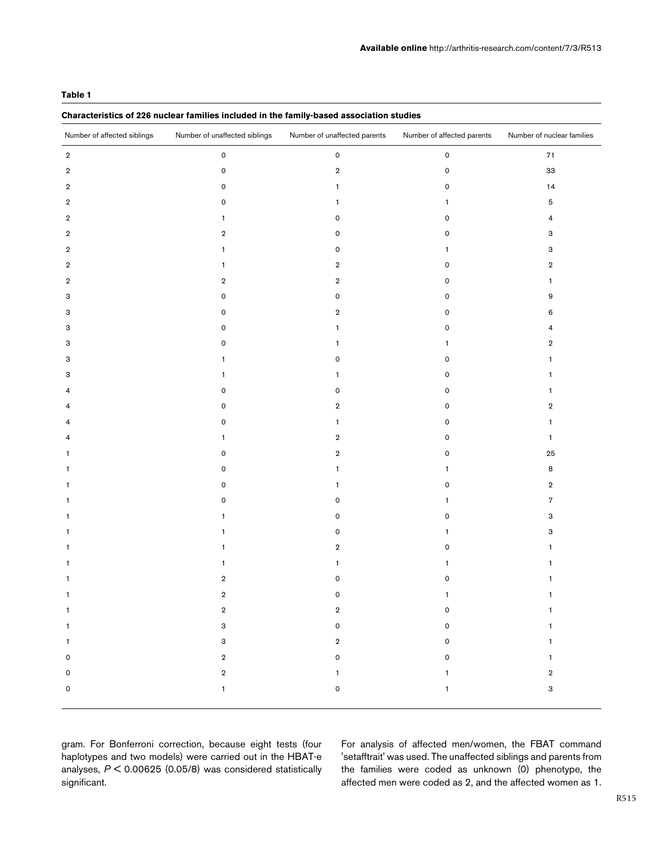<span id="page-2-0"></span>

| Characteristics of 226 nuclear families included in the family-based association studies |                               |                              |                            |                            |  |  |
|------------------------------------------------------------------------------------------|-------------------------------|------------------------------|----------------------------|----------------------------|--|--|
| Number of affected siblings                                                              | Number of unaffected siblings | Number of unaffected parents | Number of affected parents | Number of nuclear families |  |  |
| $\,2$                                                                                    | $\mathsf{O}\xspace$           | $\mathsf{O}\xspace$          | $\mathsf{o}$               | 71                         |  |  |
| $\sqrt{2}$                                                                               | $\mathsf O$                   | $\overline{2}$               | $\mathsf{o}$               | 33                         |  |  |
| $\boldsymbol{2}$                                                                         | 0                             | 1                            | $\mathsf{O}\xspace$        | 14                         |  |  |
| $\sqrt{2}$                                                                               | 0                             | 1                            | $\mathbf{1}$               | 5                          |  |  |
| $\overline{2}$                                                                           | 1                             | $\mathbf 0$                  | $\mathsf{O}\xspace$        | 4                          |  |  |
| $\,2\,$                                                                                  | $\overline{2}$                | $\mathsf{O}\xspace$          | $\pmb{0}$                  | 3                          |  |  |
| $\overline{2}$                                                                           | 1                             | $\mathsf O$                  | 1                          | 3                          |  |  |
| $\overline{2}$                                                                           | 1                             | $\overline{\mathbf{2}}$      | $\mathsf{O}\xspace$        | $\overline{2}$             |  |  |
| $\boldsymbol{2}$                                                                         | $\overline{2}$                | $\overline{\mathbf{2}}$      | $\mathsf{O}\xspace$        | 1                          |  |  |
| 3                                                                                        | 0                             | $\mathsf O$                  | $\mathsf{O}\xspace$        | 9                          |  |  |
| 3                                                                                        | 0                             | 2                            | $\mathsf{O}\xspace$        | 6                          |  |  |
| 3                                                                                        | 0                             | 1                            | $\mathsf{O}\xspace$        | 4                          |  |  |
| 3                                                                                        | 0                             | 1                            | 1                          | $\overline{2}$             |  |  |
| 3                                                                                        | -1                            | $\mathbf 0$                  | $\mathsf{O}\xspace$        | 1                          |  |  |
| 3                                                                                        | 1                             | 1                            | 0                          | 1                          |  |  |
| 4                                                                                        | 0                             | 0                            | $\mathsf{O}\xspace$        | 1                          |  |  |
| $\overline{4}$                                                                           | 0                             | $\overline{2}$               | $\mathsf{O}\xspace$        | $\overline{2}$             |  |  |
| 4                                                                                        | 0                             | 1                            | $\pmb{0}$                  | 1                          |  |  |
| 4                                                                                        | -1                            | $\overline{2}$               | $\mathsf{O}\xspace$        | $\mathbf{1}$               |  |  |
| $\mathbf{1}$                                                                             | 0                             | $\overline{2}$               | $\mathsf{O}\xspace$        | 25                         |  |  |
| $\mathbf 1$                                                                              | 0                             | $\mathbf{1}$                 | 1                          | $\bf8$                     |  |  |
| 1                                                                                        | 0                             | 1                            | $\mathsf{O}\xspace$        | $\boldsymbol{2}$           |  |  |
| $\mathbf{1}$                                                                             | 0                             | $\mathbf 0$                  | 1                          | $\overline{7}$             |  |  |
| $\mathbf 1$                                                                              |                               | $\mathsf{O}\xspace$          | $\mathsf{O}\xspace$        | 3                          |  |  |
| $\mathbf{1}$                                                                             |                               | 0                            | 1                          | 3                          |  |  |
| $\mathbf{1}$                                                                             |                               | $\overline{2}$               | $\mathsf{O}\xspace$        | 1                          |  |  |
| 1                                                                                        | 1                             | 1                            | 1                          |                            |  |  |
| 1                                                                                        | $\overline{2}$                | $\mathbf 0$                  | 0                          |                            |  |  |
|                                                                                          | 2                             |                              |                            |                            |  |  |
| $\mathbf{1}$                                                                             | $\,2$                         | $\mathbf 2$                  | $\mathsf{O}\xspace$        | $\mathbf{1}$               |  |  |
| $\mathbf{1}$                                                                             | $\mathsf 3$                   | $\mathsf{o}$                 | $\mathsf{O}\xspace$        | $\mathbf{1}$               |  |  |
| $\mathbf{1}$                                                                             | $\mathbf 3$                   | $\,2\,$                      | $\mathsf{o}$               | $\mathbf 1$                |  |  |
| $\mathsf{O}\xspace$                                                                      | $\,2$                         | $\mathsf{O}\xspace$          | $\mathsf{O}\xspace$        | $\mathbf 1$                |  |  |
| $\mathsf{O}\xspace$                                                                      | $\mathbf 2$                   | $\mathbf 1$                  | $\mathbf 1$                | $\,2$                      |  |  |
| $\mathsf{O}\xspace$                                                                      | $\mathbf{1}$                  | $\mathsf{o}$                 | $\mathbf{1}$               | $\mathbf{3}$               |  |  |

gram. For Bonferroni correction, because eight tests (four haplotypes and two models) were carried out in the HBAT-e analyses, *P* < 0.00625 (0.05/8) was considered statistically significant.

For analysis of affected men/women, the FBAT command 'setafftrait' was used. The unaffected siblings and parents from the families were coded as unknown (0) phenotype, the affected men were coded as 2, and the affected women as 1.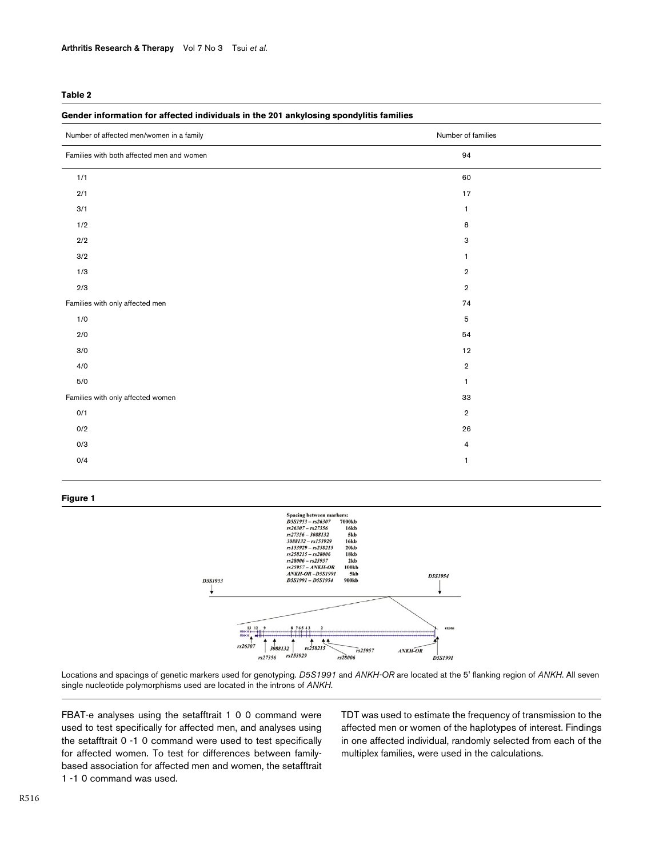<span id="page-3-0"></span>

| Number of affected men/women in a family  | Number of families |
|-------------------------------------------|--------------------|
| Families with both affected men and women | 94                 |
| 1/1                                       | 60                 |
| 2/1                                       | 17                 |
| 3/1                                       | $\mathbf{1}$       |
| 1/2                                       | 8                  |
| 2/2                                       | 3                  |
| 3/2                                       | $\mathbf{1}$       |
| 1/3                                       | $\overline{2}$     |
| 2/3                                       | $\overline{2}$     |
| Families with only affected men           | 74                 |
| 1/0                                       | $\mathbf 5$        |
| 2/0                                       | 54                 |
| 3/0                                       | 12                 |
| 4/0                                       | $\overline{2}$     |
| 5/0                                       | $\mathbf{1}$       |
| Families with only affected women         | 33                 |
| 0/1                                       | $\overline{2}$     |
| 0/2                                       | 26                 |
| 0/3                                       | 4                  |
| 0/4                                       | $\mathbf{1}$       |

#### **Figure 1**



Locations and spacings of genetic markers used for genotyping. D5S1991 and ANKH-OR are located at the 5' flanking region of ANKH. All seven single nucleotide polymorphisms used are located in the introns of *ANKH*.

FBAT-e analyses using the setafftrait 1 0 0 command were used to test specifically for affected men, and analyses using the setafftrait 0 -1 0 command were used to test specifically for affected women. To test for differences between familybased association for affected men and women, the setafftrait 1 -1 0 command was used.

TDT was used to estimate the frequency of transmission to the affected men or women of the haplotypes of interest. Findings in one affected individual, randomly selected from each of the multiplex families, were used in the calculations.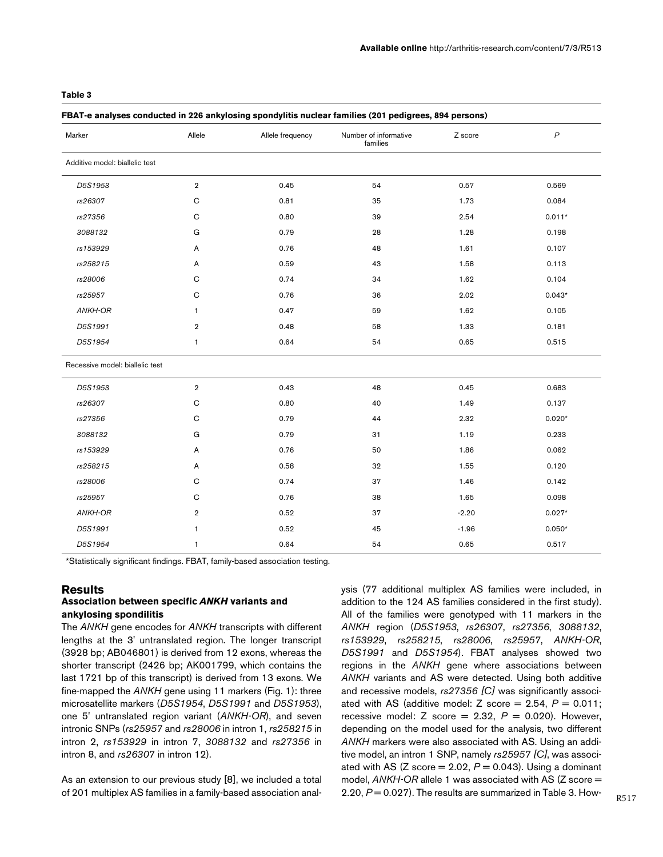#### <span id="page-4-0"></span>**FBAT-e analyses conducted in 226 ankylosing spondylitis nuclear families (201 pedigrees, 894 persons)**

| Marker                          | Allele         | Allele frequency | Number of informative<br>families | Z score | $\mathcal P$ |
|---------------------------------|----------------|------------------|-----------------------------------|---------|--------------|
| Additive model: biallelic test  |                |                  |                                   |         |              |
| D5S1953                         | $\overline{2}$ | 0.45             | 54                                | 0.57    | 0.569        |
| rs26307                         | С              | 0.81             | 35                                | 1.73    | 0.084        |
| rs27356                         | С              | 0.80             | 39                                | 2.54    | $0.011*$     |
| 3088132                         | G              | 0.79             | 28                                | 1.28    | 0.198        |
| rs153929                        | А              | 0.76             | 48                                | 1.61    | 0.107        |
| rs258215                        | Α              | 0.59             | 43                                | 1.58    | 0.113        |
| rs28006                         | С              | 0.74             | 34                                | 1.62    | 0.104        |
| rs25957                         | С              | 0.76             | 36                                | 2.02    | $0.043*$     |
| ANKH-OR                         | $\mathbf{1}$   | 0.47             | 59                                | 1.62    | 0.105        |
| D5S1991                         | $\overline{2}$ | 0.48             | 58                                | 1.33    | 0.181        |
| D5S1954                         | $\mathbf{1}$   | 0.64             | 54                                | 0.65    | 0.515        |
| Recessive model: biallelic test |                |                  |                                   |         |              |
| D5S1953                         | $\overline{2}$ | 0.43             | 48                                | 0.45    | 0.683        |
| rs26307                         | С              | 0.80             | 40                                | 1.49    | 0.137        |
| rs27356                         | С              | 0.79             | 44                                | 2.32    | $0.020*$     |
| 3088132                         | G              | 0.79             | 31                                | 1.19    | 0.233        |
| rs153929                        | Α              | 0.76             | 50                                | 1.86    | 0.062        |
| rs258215                        | Α              | 0.58             | 32                                | 1.55    | 0.120        |
| rs28006                         | С              | 0.74             | 37                                | 1.46    | 0.142        |
| rs25957                         | С              | 0.76             | 38                                | 1.65    | 0.098        |
| ANKH-OR                         | $\overline{2}$ | 0.52             | 37                                | $-2.20$ | $0.027*$     |
| D5S1991                         | $\mathbf{1}$   | 0.52             | 45                                | $-1.96$ | $0.050*$     |
| D5S1954                         | $\mathbf{1}$   | 0.64             | 54                                | 0.65    | 0.517        |

\*Statistically significant findings. FBAT, family-based association testing.

## **Results**

#### **Association between specific** *ANKH* **variants and ankylosing spondilitis**

The *ANKH* gene encodes for *ANKH* transcripts with different lengths at the 3' untranslated region. The longer transcript (3928 bp; AB046801) is derived from 12 exons, whereas the shorter transcript (2426 bp; AK001799, which contains the last 1721 bp of this transcript) is derived from 13 exons. We fine-mapped the *ANKH* gene using 11 markers (Fig. 1): three microsatellite markers (*D5S1954*, *D5S1991* and *D5S1953*), one 5' untranslated region variant (*ANKH-OR*), and seven intronic SNPs (*rs25957* and *rs28006* in intron 1, *rs258215* in intron 2, *rs153929* in intron 7, *3088132* and *rs27356* in intron 8, and *rs26307* in intron 12).

As an extension to our previous study [8], we included a total of 201 multiplex AS families in a family-based association analysis (77 additional multiplex AS families were included, in addition to the 124 AS families considered in the first study). All of the families were genotyped with 11 markers in the *ANKH* region (*D5S1953*, *rs26307*, *rs27356*, *3088132*, *rs153929*, *rs258215*, *rs28006*, *rs25957*, *ANKH-OR*, *D5S1991* and *D5S1954*). FBAT analyses showed two regions in the *ANKH* gene where associations between *ANKH* variants and AS were detected. Using both additive and recessive models, *rs27356 [C]* was significantly associated with AS (additive model: Z score  $= 2.54$ ,  $P = 0.011$ ; recessive model: Z score  $= 2.32$ ,  $P = 0.020$ ). However, depending on the model used for the analysis, two different *ANKH* markers were also associated with AS. Using an additive model, an intron 1 SNP, namely *rs25957 [C]*, was associated with AS ( $Z$  score = 2.02,  $P = 0.043$ ). Using a dominant model, *ANKH-OR* allele 1 was associated with AS (Z score = 2.20, *P* = 0.027). The results are summarized in Table [3](#page-4-0). How-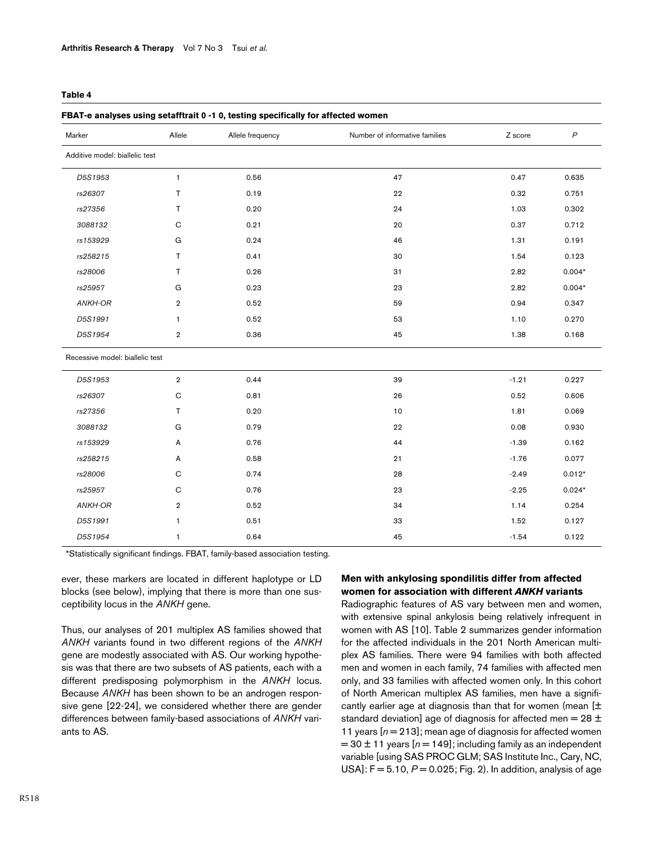#### <span id="page-5-0"></span>**FBAT-e analyses using setafftrait 0 -1 0, testing specifically for affected women**

| Marker                          | Allele         | Allele frequency | Number of informative families | Z score | $\boldsymbol{P}$ |  |
|---------------------------------|----------------|------------------|--------------------------------|---------|------------------|--|
| Additive model: biallelic test  |                |                  |                                |         |                  |  |
| D5S1953                         | $\mathbf{1}$   | 0.56             | 47                             | 0.47    | 0.635            |  |
| rs26307                         | Т              | 0.19             | 22                             | 0.32    | 0.751            |  |
| rs27356                         | Τ              | 0.20             | 24                             | 1.03    | 0.302            |  |
| 3088132                         | $\mathbf C$    | 0.21             | 20                             | 0.37    | 0.712            |  |
| rs153929                        | G              | 0.24             | 46                             | 1.31    | 0.191            |  |
| rs258215                        | Τ              | 0.41             | 30                             | 1.54    | 0.123            |  |
| rs28006                         | T              | 0.26             | 31                             | 2.82    | $0.004*$         |  |
| rs25957                         | G              | 0.23             | 23                             | 2.82    | $0.004*$         |  |
| ANKH-OR                         | $\,2\,$        | 0.52             | 59                             | 0.94    | 0.347            |  |
| D5S1991                         | $\mathbf{1}$   | 0.52             | 53                             | 1.10    | 0.270            |  |
| D5S1954                         | $\,2\,$        | 0.36             | 45                             | 1.38    | 0.168            |  |
| Recessive model: biallelic test |                |                  |                                |         |                  |  |
| D5S1953                         | $\,2\,$        | 0.44             | 39                             | $-1.21$ | 0.227            |  |
| rs26307                         | $\mathbf C$    | 0.81             | 26                             | 0.52    | 0.606            |  |
| rs27356                         | Τ              | 0.20             | 10                             | 1.81    | 0.069            |  |
| 3088132                         | G              | 0.79             | 22                             | 0.08    | 0.930            |  |
| rs153929                        | A              | 0.76             | 44                             | $-1.39$ | 0.162            |  |
| rs258215                        | A              | 0.58             | 21                             | $-1.76$ | 0.077            |  |
| rs28006                         | $\mathbf C$    | 0.74             | 28                             | $-2.49$ | $0.012*$         |  |
| rs25957                         | $\mathbf C$    | 0.76             | 23                             | $-2.25$ | $0.024*$         |  |
| ANKH-OR                         | $\overline{2}$ | 0.52             | 34                             | 1.14    | 0.254            |  |
| D5S1991                         | $\mathbf{1}$   | 0.51             | 33                             | 1.52    | 0.127            |  |
| D5S1954                         | $\mathbf{1}$   | 0.64             | 45                             | $-1.54$ | 0.122            |  |

\*Statistically significant findings. FBAT, family-based association testing.

ever, these markers are located in different haplotype or LD blocks (see below), implying that there is more than one susceptibility locus in the *ANKH* gene.

Thus, our analyses of 201 multiplex AS families showed that *ANKH* variants found in two different regions of the *ANKH* gene are modestly associated with AS. Our working hypothesis was that there are two subsets of AS patients, each with a different predisposing polymorphism in the *ANKH* locus. Because *ANKH* has been shown to be an androgen responsive gene [22-24], we considered whether there are gender differences between family-based associations of *ANKH* variants to AS.

## **Men with ankylosing spondilitis differ from affected women for association with different** *ANKH* **variants**

Radiographic features of AS vary between men and women, with extensive spinal ankylosis being relatively infrequent in women with AS [10]. Table [2](#page-3-0) summarizes gender information for the affected individuals in the 201 North American multiplex AS families. There were 94 families with both affected men and women in each family, 74 families with affected men only, and 33 families with affected women only. In this cohort of North American multiplex AS families, men have a significantly earlier age at diagnosis than that for women (mean [ $\pm$ standard deviation] age of diagnosis for affected men =  $28 \pm$ 11 years  $[n = 213]$ ; mean age of diagnosis for affected women  $= 30 \pm 11$  years  $[n = 149]$ ; including family as an independent variable [using SAS PROC GLM; SAS Institute Inc., Cary, NC, USA]: F = 5.10, *P* = 0.025; Fig. 2). In addition, analysis of age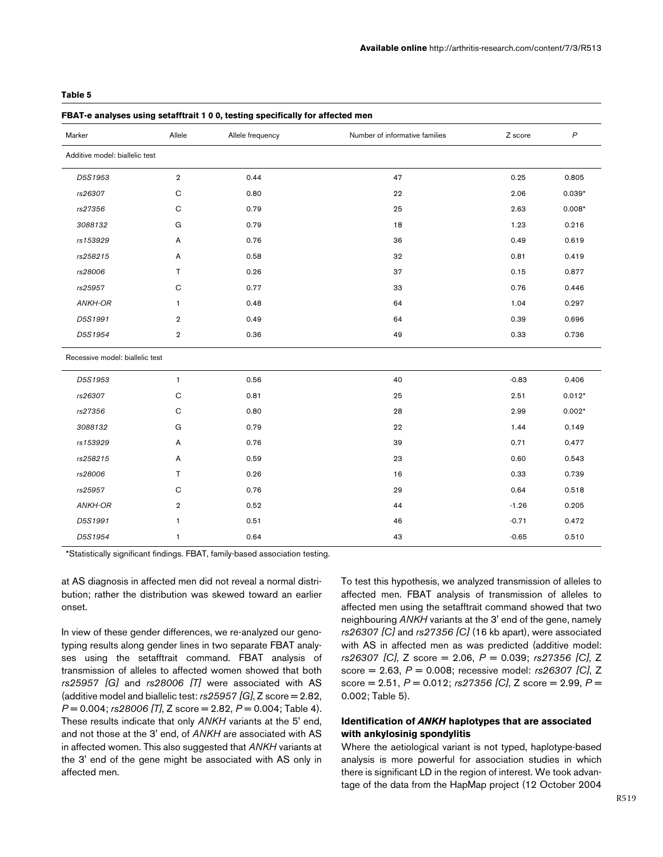# <span id="page-6-0"></span>**FBAT-e analyses using setafftrait 1 0 0, testing specifically for affected men** Marker Allele Allele frequency Number of informative families Z score *P* Additive model: biallelic test *D5S1953* 2 0.44 47 0.25 0.805 *rs26307* C 0.80 22 2.06 0.039\* *rs27356* C 0.79 25 2.63 0.008\* *3088132* G 0.79 18 1.23 0.216 *rs153929* A 0.76 36 0.49 0.619 *rs258215* A 0.58 32 0.81 0.419 *rs28006* T 0.26 37 0.15 0.877 *rs25957* C 0.77 33 0.76 0.446 *ANKH-OR* 1 0.48 64 1.04 0.297 *D5S1991* 2 0.49 64 0.39 0.696 *D5S1954* 2 0.36 49 0.33 0.736 Recessive model: biallelic test *D5S1953* 1 0.56 40 -0.83 0.406 *rs26307* C 0.81 25 2.51 0.012\* *rs27356* C 0.80 28 2.99 0.002\* *3088132* G 0.79 22 1.44 0.149 *rs153929* A 0.76 39 0.71 0.477 *rs258215* A 0.59 23 0.60 0.543 *rs28006* T 0.26 16 0.33 0.739 *rs25957* C 0.76 29 0.64 0.518 *ANKH-OR* 2 0.52 44 -1.26 0.205 *D5S1991* 1 0.51 46 -0.71 0.472 *D5S1954* 1 0.64 0.64 43 -0.65 0.510

\*Statistically significant findings. FBAT, family-based association testing.

at AS diagnosis in affected men did not reveal a normal distribution; rather the distribution was skewed toward an earlier onset.

In view of these gender differences, we re-analyzed our genotyping results along gender lines in two separate FBAT analyses using the setafftrait command. FBAT analysis of transmission of alleles to affected women showed that both *rs25957 [G]* and *rs28006 [T]* were associated with AS (additive model and biallelic test: *rs25957 [G]*, Z score = 2.82, *P* = 0.004; *rs28006 [T]*, Z score = 2.82, *P* = 0.004; Table [4](#page-5-0)). These results indicate that only *ANKH* variants at the 5' end, and not those at the 3' end, of *ANKH* are associated with AS in affected women. This also suggested that *ANKH* variants at the 3' end of the gene might be associated with AS only in affected men.

To test this hypothesis, we analyzed transmission of alleles to affected men. FBAT analysis of transmission of alleles to affected men using the setafftrait command showed that two neighbouring *ANKH* variants at the 3' end of the gene, namely *rs26307 [C]* and *rs27356 [C]* (16 kb apart), were associated with AS in affected men as was predicted (additive model: *rs26307 [C]*, Z score = 2.06, *P* = 0.039; *rs27356 [C]*, Z score = 2.63, *P* = 0.008; recessive model: *rs26307 [C]*, Z score = 2.51, *P* = 0.012; *rs27356 [C]*, Z score = 2.99, *P* = 0.002; Table [5](#page-6-0)).

## **Identification of** *ANKH* **haplotypes that are associated with ankylosinig spondylitis**

Where the aetiological variant is not typed, haplotype-based analysis is more powerful for association studies in which there is significant LD in the region of interest. We took advantage of the data from the HapMap project (12 October 2004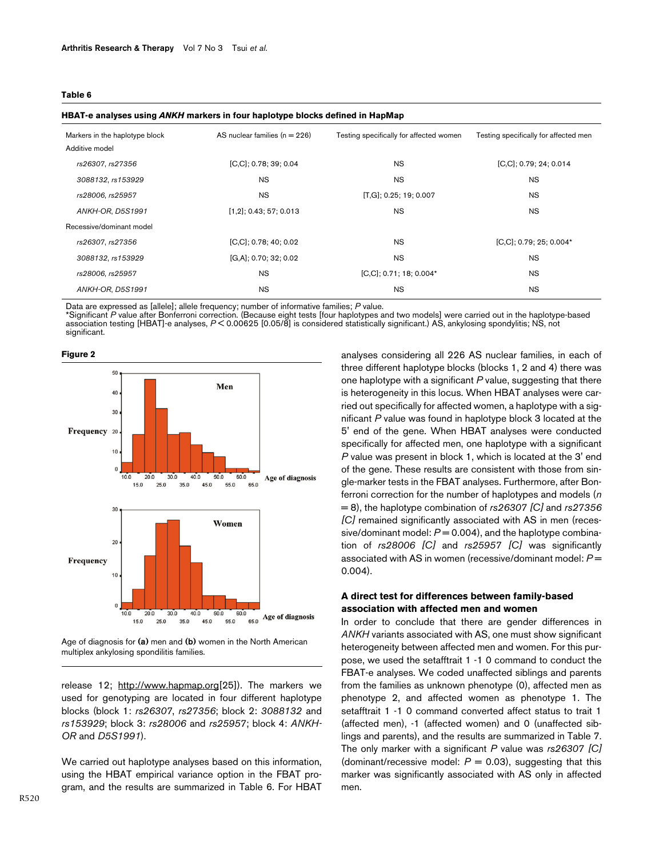<span id="page-7-0"></span>

|--|--|--|--|--|

#### **HBAT-e analyses using** *ANKH* **markers in four haplotype blocks defined in HapMap**

| Markers in the haplotype block<br>Additive model | AS nuclear families $(n = 226)$ | Testing specifically for affected women | Testing specifically for affected men |
|--------------------------------------------------|---------------------------------|-----------------------------------------|---------------------------------------|
| rs26307, rs27356                                 | $[C, C]$ ; 0.78; 39; 0.04       | <b>NS</b>                               | $[C, C]$ ; 0.79; 24; 0.014            |
| 3088132, rs153929                                | <b>NS</b>                       | <b>NS</b>                               | <b>NS</b>                             |
| rs28006, rs25957                                 | <b>NS</b>                       | $[T, G]$ ; 0.25; 19; 0.007              | <b>NS</b>                             |
| <b>ANKH-OR, D5S1991</b>                          | $[1,2]$ ; 0.43; 57; 0.013       | <b>NS</b>                               | <b>NS</b>                             |
| Recessive/dominant model                         |                                 |                                         |                                       |
| rs26307, rs27356                                 | $[C, C]$ ; 0.78; 40; 0.02       | <b>NS</b>                               | $[C, C]$ ; 0.79; 25; 0.004*           |
| 3088132, rs153929                                | $[G,A]$ ; 0.70; 32; 0.02        | <b>NS</b>                               | <b>NS</b>                             |
| rs28006, rs25957                                 | <b>NS</b>                       | $[C, C]$ ; 0.71; 18; 0.004*             | <b>NS</b>                             |
| <b>ANKH-OR, D5S1991</b>                          | <b>NS</b>                       | <b>NS</b>                               | <b>NS</b>                             |

Data are expressed as [allele]; allele frequency; number of informative families; *P* value.

\*Significant *P* value after Bonferroni correction. (Because eight tests [four haplotypes and two models] were carried out in the haplotype-based association testing [HBAT]-e analyses, *P* < 0.00625 [0.05/8] is considered statistically significant.) AS, ankylosing spondylitis; NS, not significant.





Age of diagnosis for (a) men and (b) women in the North American multiplex ankylosing spondilitis families.

release 12; <http://www.hapmap.org>[25]). The markers we used for genotyping are located in four different haplotype blocks (block 1: *rs26307*, *rs27356*; block 2: *3088132* and *rs153929*; block 3: *rs28006* and *rs25957*; block 4: *ANKH-OR* and *D5S1991*).

We carried out haplotype analyses based on this information, using the HBAT empirical variance option in the FBAT program, and the results are summarized in Table [6](#page-7-0). For HBAT

analyses considering all 226 AS nuclear families, in each of three different haplotype blocks (blocks 1, 2 and 4) there was one haplotype with a significant *P* value, suggesting that there is heterogeneity in this locus. When HBAT analyses were carried out specifically for affected women, a haplotype with a significant *P* value was found in haplotype block 3 located at the 5' end of the gene. When HBAT analyses were conducted specifically for affected men, one haplotype with a significant *P* value was present in block 1, which is located at the 3' end of the gene. These results are consistent with those from single-marker tests in the FBAT analyses. Furthermore, after Bonferroni correction for the number of haplotypes and models (*n* = 8), the haplotype combination of *rs26307 [C]* and *rs27356 [C]* remained significantly associated with AS in men (recessive/dominant model:  $P = 0.004$ ), and the haplotype combination of *rs28006 [C]* and *rs25957 [C]* was significantly associated with AS in women (recessive/dominant model: *P* = 0.004).

## **A direct test for differences between family-based association with affected men and women**

In order to conclude that there are gender differences in *ANKH* variants associated with AS, one must show significant heterogeneity between affected men and women. For this purpose, we used the setafftrait 1 -1 0 command to conduct the FBAT-e analyses. We coded unaffected siblings and parents from the families as unknown phenotype (0), affected men as phenotype 2, and affected women as phenotype 1. The setafftrait 1 -1 0 command converted affect status to trait 1 (affected men), -1 (affected women) and 0 (unaffected siblings and parents), and the results are summarized in Table [7.](#page-8-0) The only marker with a significant *P* value was *rs26307 [C]* (dominant/recessive model:  $P = 0.03$ ), suggesting that this marker was significantly associated with AS only in affected men.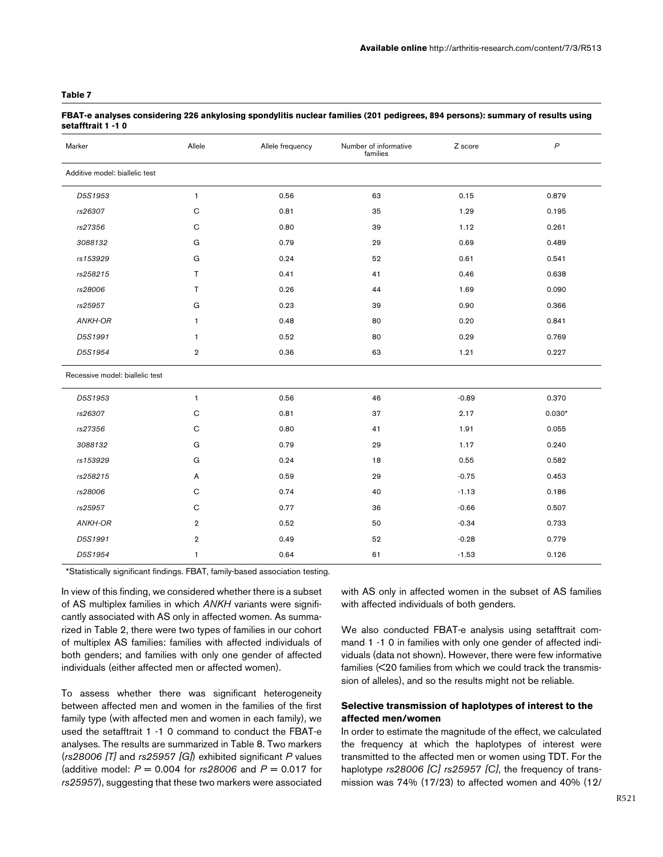## <span id="page-8-0"></span>**FBAT-e analyses considering 226 ankylosing spondylitis nuclear families (201 pedigrees, 894 persons): summary of results using setafftrait 1 -1 0**

| Marker                          | Allele         | Allele frequency | Number of informative<br>families | Z score | $\boldsymbol{P}$ |
|---------------------------------|----------------|------------------|-----------------------------------|---------|------------------|
| Additive model: biallelic test  |                |                  |                                   |         |                  |
| D5S1953                         | $\mathbf{1}$   | 0.56             | 63                                | 0.15    | 0.879            |
| rs26307                         | C              | 0.81             | 35                                | 1.29    | 0.195            |
| rs27356                         | $\mathsf{C}$   | 0.80             | 39                                | 1.12    | 0.261            |
| 3088132                         | G              | 0.79             | 29                                | 0.69    | 0.489            |
| rs153929                        | G              | 0.24             | 52                                | 0.61    | 0.541            |
| rs258215                        | Τ              | 0.41             | 41                                | 0.46    | 0.638            |
| rs28006                         | Τ              | 0.26             | 44                                | 1.69    | 0.090            |
| rs25957                         | G              | 0.23             | 39                                | 0.90    | 0.366            |
| ANKH-OR                         | $\mathbf{1}$   | 0.48             | 80                                | 0.20    | 0.841            |
| D5S1991                         | $\mathbf{1}$   | 0.52             | 80                                | 0.29    | 0.769            |
| D5S1954                         | $\mathbf{2}$   | 0.36             | 63                                | 1.21    | 0.227            |
| Recessive model: biallelic test |                |                  |                                   |         |                  |
| D5S1953                         | $\mathbf{1}$   | 0.56             | 46                                | $-0.89$ | 0.370            |
| rs26307                         | C              | 0.81             | 37                                | 2.17    | $0.030*$         |
| rs27356                         | C              | 0.80             | 41                                | 1.91    | 0.055            |
| 3088132                         | G              | 0.79             | 29                                | 1.17    | 0.240            |
| rs153929                        | G              | 0.24             | 18                                | 0.55    | 0.582            |
| rs258215                        | Α              | 0.59             | 29                                | $-0.75$ | 0.453            |
| rs28006                         | C              | 0.74             | 40                                | $-1.13$ | 0.186            |
| rs25957                         | C              | 0.77             | 36                                | $-0.66$ | 0.507            |
| ANKH-OR                         | $\overline{2}$ | 0.52             | 50                                | $-0.34$ | 0.733            |
| D5S1991                         | $\mathbf{2}$   | 0.49             | 52                                | $-0.28$ | 0.779            |
| D5S1954                         | $\mathbf{1}$   | 0.64             | 61                                | $-1.53$ | 0.126            |

\*Statistically significant findings. FBAT, family-based association testing.

In view of this finding, we considered whether there is a subset of AS multiplex families in which *ANKH* variants were significantly associated with AS only in affected women. As summarized in Table [2,](#page-3-0) there were two types of families in our cohort of multiplex AS families: families with affected individuals of both genders; and families with only one gender of affected individuals (either affected men or affected women).

To assess whether there was significant heterogeneity between affected men and women in the families of the first family type (with affected men and women in each family), we used the setafftrait 1 -1 0 command to conduct the FBAT-e analyses. The results are summarized in Table [8.](#page-9-0) Two markers (*rs28006 [T]* and *rs25957 [G]*) exhibited significant *P* values (additive model: *P* = 0.004 for *rs28006* and *P* = 0.017 for *rs25957*), suggesting that these two markers were associated with AS only in affected women in the subset of AS families with affected individuals of both genders.

We also conducted FBAT-e analysis using setafftrait command 1 -1 0 in families with only one gender of affected individuals (data not shown). However, there were few informative families (<20 families from which we could track the transmission of alleles), and so the results might not be reliable.

## **Selective transmission of haplotypes of interest to the affected men/women**

In order to estimate the magnitude of the effect, we calculated the frequency at which the haplotypes of interest were transmitted to the affected men or women using TDT. For the haplotype *rs28006 [C] rs25957 [C]*, the frequency of transmission was 74% (17/23) to affected women and 40% (12/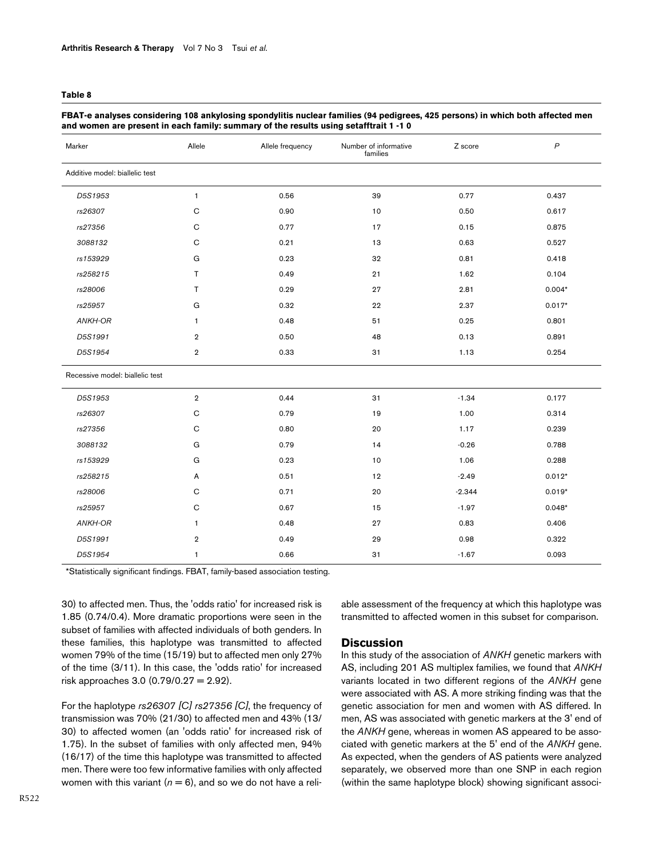# <span id="page-9-0"></span>**FBAT-e analyses considering 108 ankylosing spondylitis nuclear families (94 pedigrees, 425 persons) in which both affected men and women are present in each family: summary of the results using setafftrait 1 -1 0**

| Marker                          | Allele         | Allele frequency | Number of informative<br>families | Z score  | $\boldsymbol{P}$ |
|---------------------------------|----------------|------------------|-----------------------------------|----------|------------------|
| Additive model: biallelic test  |                |                  |                                   |          |                  |
| D5S1953                         | $\mathbf{1}$   | 0.56             | 39                                | 0.77     | 0.437            |
| rs26307                         | C              | 0.90             | 10                                | 0.50     | 0.617            |
| rs27356                         | C              | 0.77             | 17                                | 0.15     | 0.875            |
| 3088132                         | $\mathsf{C}$   | 0.21             | 13                                | 0.63     | 0.527            |
| rs153929                        | G              | 0.23             | 32                                | 0.81     | 0.418            |
| rs258215                        | Т              | 0.49             | 21                                | 1.62     | 0.104            |
| rs28006                         | T              | 0.29             | 27                                | 2.81     | $0.004*$         |
| rs25957                         | G              | 0.32             | 22                                | 2.37     | $0.017*$         |
| ANKH-OR                         | $\mathbf{1}$   | 0.48             | 51                                | 0.25     | 0.801            |
| D5S1991                         | $\overline{2}$ | 0.50             | 48                                | 0.13     | 0.891            |
| D5S1954                         | $\,2\,$        | 0.33             | 31                                | 1.13     | 0.254            |
| Recessive model: biallelic test |                |                  |                                   |          |                  |
| D5S1953                         | $\overline{2}$ | 0.44             | 31                                | $-1.34$  | 0.177            |
| rs26307                         | C              | 0.79             | 19                                | 1.00     | 0.314            |
| rs27356                         | C              | 0.80             | 20                                | 1.17     | 0.239            |
| 3088132                         | G              | 0.79             | 14                                | $-0.26$  | 0.788            |
| rs153929                        | G              | 0.23             | 10                                | 1.06     | 0.288            |
| rs258215                        | А              | 0.51             | 12                                | $-2.49$  | $0.012*$         |
| rs28006                         | C              | 0.71             | 20                                | $-2.344$ | $0.019*$         |
| rs25957                         | C              | 0.67             | 15                                | $-1.97$  | $0.048*$         |
| ANKH-OR                         | $\mathbf{1}$   | 0.48             | 27                                | 0.83     | 0.406            |
| D5S1991                         | $\overline{2}$ | 0.49             | 29                                | 0.98     | 0.322            |
| D5S1954                         | $\mathbf{1}$   | 0.66             | 31                                | $-1.67$  | 0.093            |

\*Statistically significant findings. FBAT, family-based association testing.

30) to affected men. Thus, the 'odds ratio' for increased risk is 1.85 (0.74/0.4). More dramatic proportions were seen in the subset of families with affected individuals of both genders. In these families, this haplotype was transmitted to affected women 79% of the time (15/19) but to affected men only 27% of the time (3/11). In this case, the 'odds ratio' for increased risk approaches  $3.0 (0.79/0.27 = 2.92)$ .

For the haplotype *rs26307 [C] rs27356 [C]*, the frequency of transmission was 70% (21/30) to affected men and 43% (13/ 30) to affected women (an 'odds ratio' for increased risk of 1.75). In the subset of families with only affected men, 94% (16/17) of the time this haplotype was transmitted to affected men. There were too few informative families with only affected women with this variant  $(n = 6)$ , and so we do not have a reliable assessment of the frequency at which this haplotype was transmitted to affected women in this subset for comparison.

## **Discussion**

In this study of the association of *ANKH* genetic markers with AS, including 201 AS multiplex families, we found that *ANKH* variants located in two different regions of the *ANKH* gene were associated with AS. A more striking finding was that the genetic association for men and women with AS differed. In men, AS was associated with genetic markers at the 3' end of the *ANKH* gene, whereas in women AS appeared to be associated with genetic markers at the 5' end of the *ANKH* gene. As expected, when the genders of AS patients were analyzed separately, we observed more than one SNP in each region (within the same haplotype block) showing significant associ-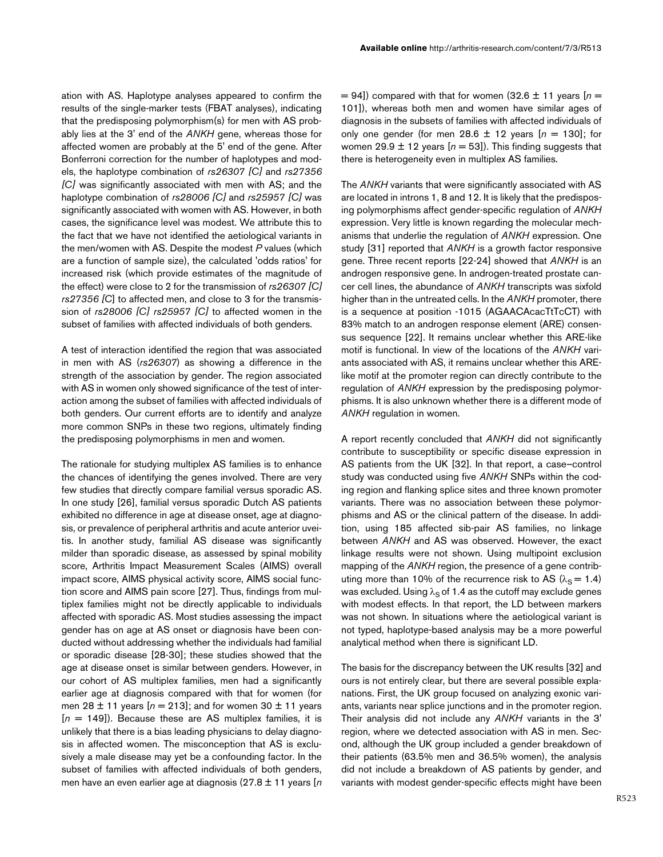ation with AS. Haplotype analyses appeared to confirm the results of the single-marker tests (FBAT analyses), indicating that the predisposing polymorphism(s) for men with AS probably lies at the 3' end of the *ANKH* gene, whereas those for affected women are probably at the 5' end of the gene. After Bonferroni correction for the number of haplotypes and models, the haplotype combination of *rs26307 [C]* and *rs27356 [C]* was significantly associated with men with AS; and the haplotype combination of *rs28006 [C]* and *rs25957 [C]* was significantly associated with women with AS. However, in both cases, the significance level was modest. We attribute this to the fact that we have not identified the aetiological variants in the men/women with AS. Despite the modest *P* values (which are a function of sample size), the calculated 'odds ratios' for increased risk (which provide estimates of the magnitude of the effect) were close to 2 for the transmission of *rs26307 [C] rs27356 [C*] to affected men, and close to 3 for the transmission of *rs28006 [C] rs25957 [C]* to affected women in the subset of families with affected individuals of both genders.

A test of interaction identified the region that was associated in men with AS (*rs26307*) as showing a difference in the strength of the association by gender. The region associated with AS in women only showed significance of the test of interaction among the subset of families with affected individuals of both genders. Our current efforts are to identify and analyze more common SNPs in these two regions, ultimately finding the predisposing polymorphisms in men and women.

The rationale for studying multiplex AS families is to enhance the chances of identifying the genes involved. There are very few studies that directly compare familial versus sporadic AS. In one study [26], familial versus sporadic Dutch AS patients exhibited no difference in age at disease onset, age at diagnosis, or prevalence of peripheral arthritis and acute anterior uveitis. In another study, familial AS disease was significantly milder than sporadic disease, as assessed by spinal mobility score, Arthritis Impact Measurement Scales (AIMS) overall impact score, AIMS physical activity score, AIMS social function score and AIMS pain score [27]. Thus, findings from multiplex families might not be directly applicable to individuals affected with sporadic AS. Most studies assessing the impact gender has on age at AS onset or diagnosis have been conducted without addressing whether the individuals had familial or sporadic disease [28-30]; these studies showed that the age at disease onset is similar between genders. However, in our cohort of AS multiplex families, men had a significantly earlier age at diagnosis compared with that for women (for men 28  $\pm$  11 years [ $n = 213$ ]; and for women 30  $\pm$  11 years [*n* = 149]). Because these are AS multiplex families, it is unlikely that there is a bias leading physicians to delay diagnosis in affected women. The misconception that AS is exclusively a male disease may yet be a confounding factor. In the subset of families with affected individuals of both genders, men have an even earlier age at diagnosis (27.8 ± 11 years [*n*

 $= 94$ ]) compared with that for women (32.6  $\pm$  11 years [ $n =$ 101]), whereas both men and women have similar ages of diagnosis in the subsets of families with affected individuals of only one gender (for men 28.6  $\pm$  12 years  $[n = 130]$ ; for women 29.9 ± 12 years [*n* = 53]). This finding suggests that there is heterogeneity even in multiplex AS families.

The *ANKH* variants that were significantly associated with AS are located in introns 1, 8 and 12. It is likely that the predisposing polymorphisms affect gender-specific regulation of *ANKH* expression. Very little is known regarding the molecular mechanisms that underlie the regulation of *ANKH* expression. One study [31] reported that *ANKH* is a growth factor responsive gene. Three recent reports [22-24] showed that *ANKH* is an androgen responsive gene. In androgen-treated prostate cancer cell lines, the abundance of *ANKH* transcripts was sixfold higher than in the untreated cells. In the *ANKH* promoter, there is a sequence at position -1015 (AGAACAcacTtTcCT) with 83% match to an androgen response element (ARE) consensus sequence [22]. It remains unclear whether this ARE-like motif is functional. In view of the locations of the *ANKH* variants associated with AS, it remains unclear whether this ARElike motif at the promoter region can directly contribute to the regulation of *ANKH* expression by the predisposing polymorphisms. It is also unknown whether there is a different mode of *ANKH* regulation in women.

A report recently concluded that *ANKH* did not significantly contribute to susceptibility or specific disease expression in AS patients from the UK [32]. In that report, a case–control study was conducted using five *ANKH* SNPs within the coding region and flanking splice sites and three known promoter variants. There was no association between these polymorphisms and AS or the clinical pattern of the disease. In addition, using 185 affected sib-pair AS families, no linkage between *ANKH* and AS was observed. However, the exact linkage results were not shown. Using multipoint exclusion mapping of the *ANKH* region, the presence of a gene contributing more than 10% of the recurrence risk to AS ( $\lambda$ <sub>S</sub> = 1.4) was excluded. Using  $\lambda_S$  of 1.4 as the cutoff may exclude genes with modest effects. In that report, the LD between markers was not shown. In situations where the aetiological variant is not typed, haplotype-based analysis may be a more powerful analytical method when there is significant LD.

The basis for the discrepancy between the UK results [32] and ours is not entirely clear, but there are several possible explanations. First, the UK group focused on analyzing exonic variants, variants near splice junctions and in the promoter region. Their analysis did not include any *ANKH* variants in the 3' region, where we detected association with AS in men. Second, although the UK group included a gender breakdown of their patients (63.5% men and 36.5% women), the analysis did not include a breakdown of AS patients by gender, and variants with modest gender-specific effects might have been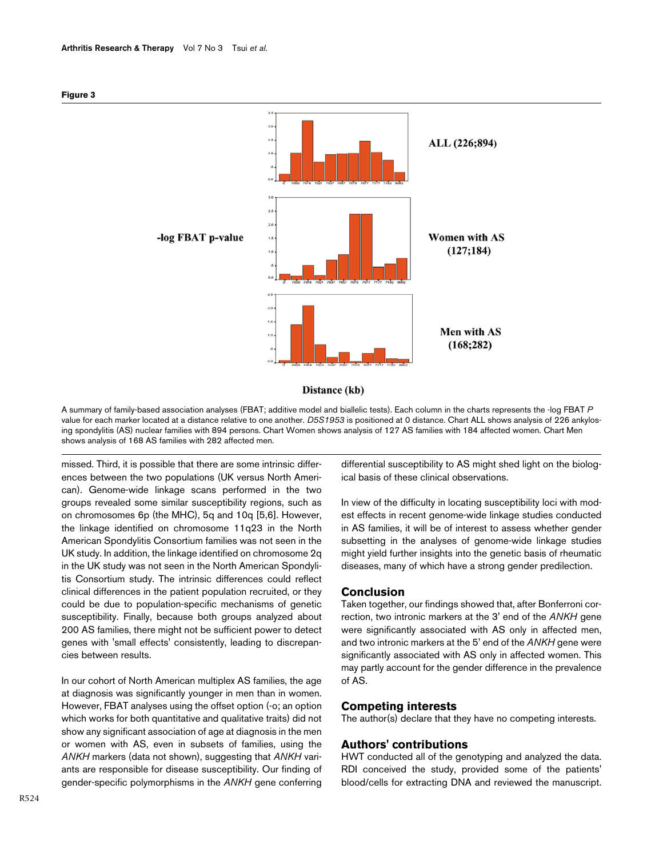

A summary of family-based association analyses (FBAT; additive model and biallelic tests). Each column in the charts represents the -log FBAT P value for each marker located at a distance relative to one another. *D5S1953* is positioned at 0 distance. Chart ALL shows analysis of 226 ankylosing spondylitis (AS) nuclear families with 894 persons. Chart Women shows analysis of 127 AS families with 184 affected women. Chart Men shows analysis of 168 AS families with 282 affected men.

missed. Third, it is possible that there are some intrinsic differences between the two populations (UK versus North American). Genome-wide linkage scans performed in the two groups revealed some similar susceptibility regions, such as on chromosomes 6p (the MHC), 5q and 10q [5,6]. However, the linkage identified on chromosome 11q23 in the North American Spondylitis Consortium families was not seen in the UK study. In addition, the linkage identified on chromosome 2q in the UK study was not seen in the North American Spondylitis Consortium study. The intrinsic differences could reflect clinical differences in the patient population recruited, or they could be due to population-specific mechanisms of genetic susceptibility. Finally, because both groups analyzed about 200 AS families, there might not be sufficient power to detect genes with 'small effects' consistently, leading to discrepancies between results.

In our cohort of North American multiplex AS families, the age at diagnosis was significantly younger in men than in women. However, FBAT analyses using the offset option (-o; an option which works for both quantitative and qualitative traits) did not show any significant association of age at diagnosis in the men or women with AS, even in subsets of families, using the *ANKH* markers (data not shown), suggesting that *ANKH* variants are responsible for disease susceptibility. Our finding of gender-specific polymorphisms in the *ANKH* gene conferring

differential susceptibility to AS might shed light on the biological basis of these clinical observations.

In view of the difficulty in locating susceptibility loci with modest effects in recent genome-wide linkage studies conducted in AS families, it will be of interest to assess whether gender subsetting in the analyses of genome-wide linkage studies might yield further insights into the genetic basis of rheumatic diseases, many of which have a strong gender predilection.

## **Conclusion**

Taken together, our findings showed that, after Bonferroni correction, two intronic markers at the 3' end of the *ANKH* gene were significantly associated with AS only in affected men, and two intronic markers at the 5' end of the *ANKH* gene were significantly associated with AS only in affected women. This may partly account for the gender difference in the prevalence of AS.

## **Competing interests**

The author(s) declare that they have no competing interests.

## **Authors' contributions**

HWT conducted all of the genotyping and analyzed the data. RDI conceived the study, provided some of the patients' blood/cells for extracting DNA and reviewed the manuscript.

#### **Figure 3**